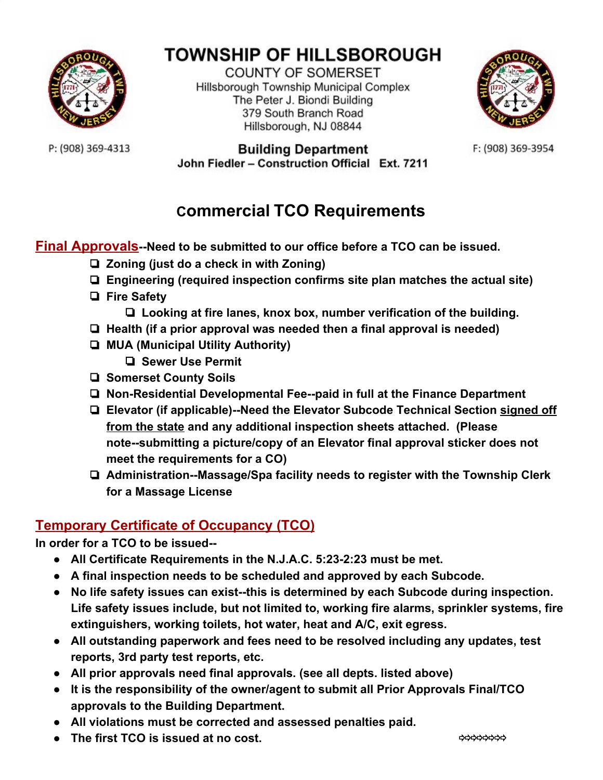

# **TOWNSHIP OF HILLSBOROUGH**

**COUNTY OF SOMERSET** Hillsborough Township Municipal Complex The Peter J. Biondi Building 379 South Branch Road Hillsborough, NJ 08844



F: (908) 369-3954

P: (908) 369-4313

#### **Building Department** John Fiedler - Construction Official Ext. 7211

# **Commercial TCO Requirements**

**Final Approvals--Need to be submitted to our office before a TCO can be issued.**

- ❏ **Zoning (just do a check in with Zoning)**
- ❏ **Engineering (required inspection confirms site plan matches the actual site)**
- ❏ **Fire Safety**
	- ❏ **Looking at fire lanes, knox box, number verification of the building.**
- ❏ **Health (if a prior approval was needed then a final approval is needed)**
- ❏ **MUA (Municipal Utility Authority)**
	- ❏ **Sewer Use Permit**
- ❏ **Somerset County Soils**
- ❏ **Non-Residential Developmental Fee--paid in full at the Finance Department**
- ❏ **Elevator (if applicable)--Need the Elevator Subcode Technical Section signed off from the state and any additional inspection sheets attached. (Please note--submitting a picture/copy of an Elevator final approval sticker does not meet the requirements for a CO)**
- ❏ **Administration--Massage/Spa facility needs to register with the Township Clerk for a Massage License**

### **Temporary Certificate of Occupancy (TCO)**

**In order for a TCO to be issued--**

- **● All Certificate Requirements in the N.J.A.C. 5:23-2:23 must be met.**
- **● A final inspection needs to be scheduled and approved by each Subcode.**
- **● No life safety issues can exist--this is determined by each Subcode during inspection. Life safety issues include, but not limited to, working fire alarms, sprinkler systems, fire extinguishers, working toilets, hot water, heat and A/C, exit egress.**
- **● All outstanding paperwork and fees need to be resolved including any updates, test reports, 3rd party test reports, etc.**
- **● All prior approvals need final approvals. (see all depts. listed above)**
- **● It is the responsibility of the owner/agent to submit all Prior Approvals Final/TCO approvals to the Building Department.**
- **● All violations must be corrected and assessed penalties paid.**
- **● The first TCO is issued at no cost.** ⇨⇨⇨⇨⇨⇨⇨⇨